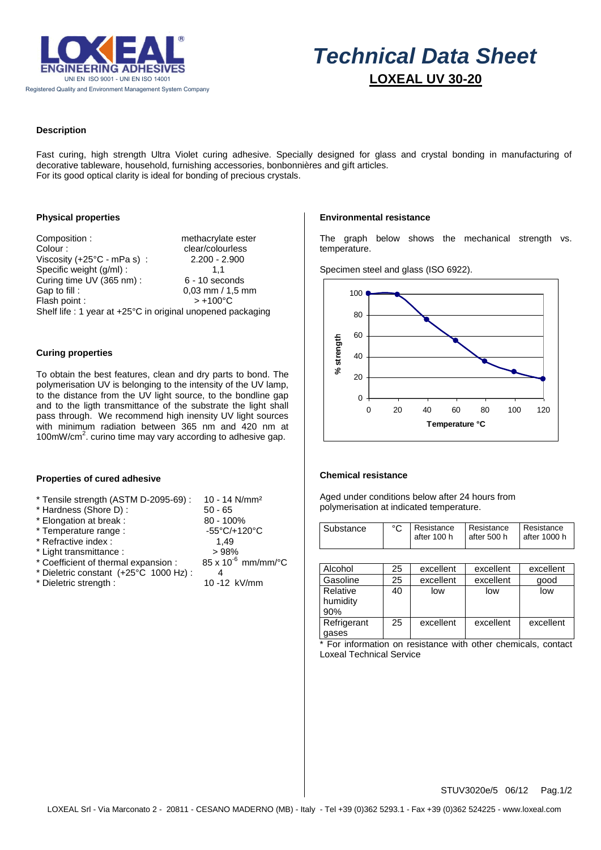

# *Technical Data Sheet*  **LOXEAL UV 30-20**

## **Description**

Fast curing, high strength Ultra Violet curing adhesive. Specially designed for glass and crystal bonding in manufacturing of decorative tableware, household, furnishing accessories, bonbonnières and gift articles. For its good optical clarity is ideal for bonding of precious crystals.

## **Physical properties**

Composition : methacrylate ester Colour : clear/colourless<br>Viscosity (+25°C - mPa s) : 2.200 - 2.900 Viscosity (+25 $°C$  - mPa s): Specific weight (g/ml) : 1,1 Curing time UV (365 nm) : 6 - 10 seconds Gap to fill :  $0.03$  mm / 1,5 mm<br>Flash point :  $5 +100^{\circ}$ C Flash point : Shelf life : 1 year at +25°C in original unopened packaging

### **Curing properties**

To obtain the best features, clean and dry parts to bond. The polymerisation UV is belonging to the intensity of the UV lamp, to the distance from the UV light source, to the bondline gap and to the ligth transmittance of the substrate the light shall pass through. We recommend high inensity UV light sources with minimum radiation between 365 nm and 420 nm at 100mW/ $cm<sup>2</sup>$ . curino time may vary according to adhesive gap.

### **Properties of cured adhesive**

| * Tensile strength (ASTM D-2095-69) : | 10 - 14 N/mm <sup>2</sup>    |  |  |
|---------------------------------------|------------------------------|--|--|
| * Hardness (Shore D):                 | $50 - 65$                    |  |  |
| * Elongation at break :               | 80 - 100%                    |  |  |
| * Temperature range :                 | -55°C/+120°C                 |  |  |
| * Refractive index :                  | 1.49                         |  |  |
| * Light transmittance :               | >98%                         |  |  |
| * Coefficient of thermal expansion :  | $85 \times 10^{-6}$ mm/mm/°C |  |  |
| * Dieletric constant (+25°C 1000 Hz): | 4                            |  |  |
| * Dieletric strength :                | 10-12 kV/mm                  |  |  |

### **Environmental resistance**

The graph below shows the mechanical strength vs. temperature.

Specimen steel and glass (ISO 6922).



#### **Chemical resistance**

Aged under conditions below after 24 hours from polymerisation at indicated temperature.

| Substance   | °C | Resistance  | Resistance  | Resistance   |
|-------------|----|-------------|-------------|--------------|
|             |    | after 100 h | after 500 h | after 1000 h |
|             |    |             |             |              |
|             |    |             |             |              |
| Alcohol     | 25 | excellent   | excellent   | excellent    |
| Gasoline    | 25 | excellent   | excellent   | good         |
| Relative    | 40 | low         | low         | low          |
| humidity    |    |             |             |              |
| 90%         |    |             |             |              |
| Refrigerant | 25 | excellent   | excellent   | excellent    |
| gases       |    |             |             |              |

For information on resistance with other chemicals, contact Loxeal Technical Service

STUV3020e/5 06/12 Pag.1/2